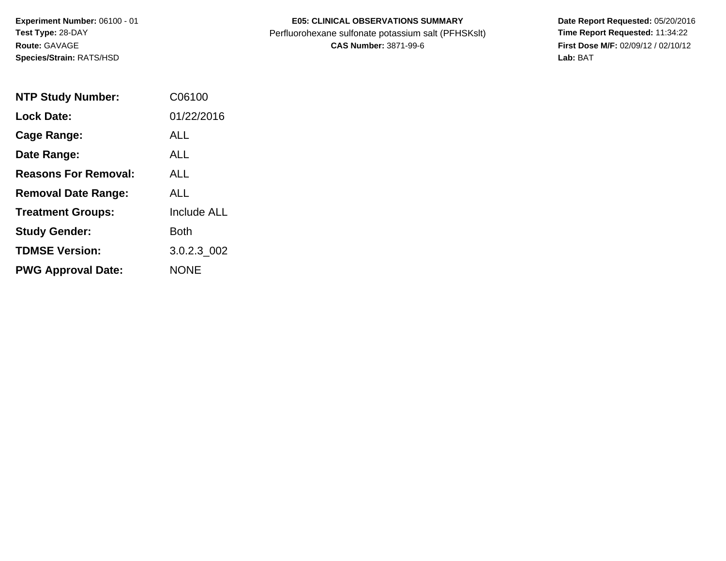**Experiment Number:** 06100 - 01**Test Type:** 28-DAY**Route:** GAVAGE**Species/Strain:** RATS/HSD

## **E05: CLINICAL OBSERVATIONS SUMMARY**

Perfluorohexane sulfonate potassium salt (PFHSKslt)<br>**CAS Number:** 3871-99-6

 **Date Report Requested:** 05/20/2016 **First Dose M/F:** 02/09/12 / 02/10/12<br>Lab: BAT **Lab:** BAT

| <b>NTP Study Number:</b>    | C06100             |
|-----------------------------|--------------------|
| <b>Lock Date:</b>           | 01/22/2016         |
| Cage Range:                 | ALL                |
| Date Range:                 | ALL                |
| <b>Reasons For Removal:</b> | ALL.               |
| <b>Removal Date Range:</b>  | ALL                |
| <b>Treatment Groups:</b>    | <b>Include ALL</b> |
| <b>Study Gender:</b>        | Both               |
| <b>TDMSE Version:</b>       | 3.0.2.3 002        |
| <b>PWG Approval Date:</b>   | <b>NONE</b>        |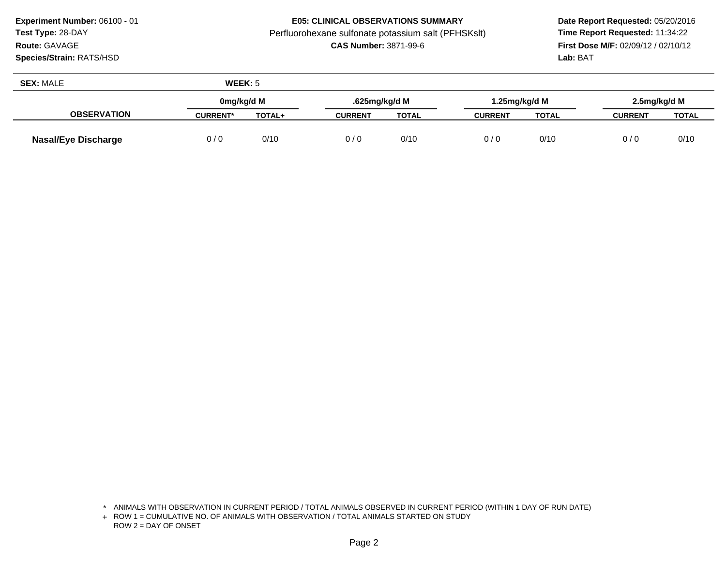**Experiment Number:** 06100 - 01**Test Type:** 28-DAY**Route:** GAVAGE

**Species/Strain:** RATS/HSD

## **E05: CLINICAL OBSERVATIONS SUMMARY**

Perfluorohexane sulfonate potassium salt (PFHSKslt)<br>**CAS Number:** 3871-99-6

 **Date Report Requested:** 05/20/2016 **First Dose M/F:** 02/09/12 / 02/10/12<br>Lab: BAT **Lab:** BAT

| <b>SEX: MALE</b>           | WEEK: 5         |               |                |              |                |               |                |       |
|----------------------------|-----------------|---------------|----------------|--------------|----------------|---------------|----------------|-------|
|                            | 0mg/kg/d M      |               | .625mg/kg/d M  |              |                | 1.25mg/kg/d M | 2.5mg/kg/d M   |       |
| <b>OBSERVATION</b>         | <b>CURRENT*</b> | <b>TOTAL+</b> | <b>CURRENT</b> | <b>TOTAL</b> | <b>CURRENT</b> | <b>TOTAL</b>  | <b>CURRENT</b> | TOTAL |
| <b>Nasal/Eye Discharge</b> | 0/0             | 0/10          | 0/0            | 0/10         | 0/0            | 0/10          | 0/0            | 0/10  |

<sup>\*</sup> ANIMALS WITH OBSERVATION IN CURRENT PERIOD / TOTAL ANIMALS OBSERVED IN CURRENT PERIOD (WITHIN 1 DAY OF RUN DATE)

<sup>+</sup> ROW 1 = CUMULATIVE NO. OF ANIMALS WITH OBSERVATION / TOTAL ANIMALS STARTED ON STUDY ROW 2 = DAY OF ONSET